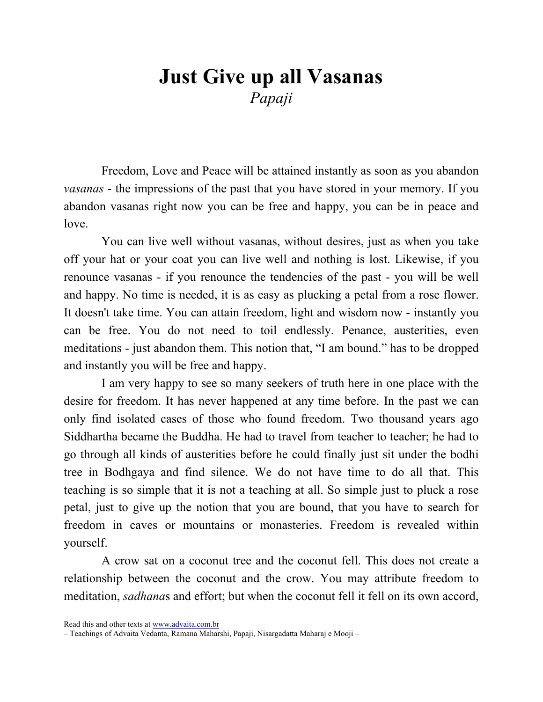## Just Give up all Vasanas Papaji

Freedom, Love and Peace will be attained instantly as soon as you abandon vasanas - the impressions of the past that you have stored in your memory. If you abandon vasanas right now you can be free and happy, you can be in peace and love.

You can live well without vasanas, without desires, just as when you take off your hat or your coat you can live well and nothing is lost. Likewise, if you renounce vasanas - if you renounce the tendencies of the past - you will be well and happy. No time is needed, it is as easy as plucking a petal from a rose flower. It doesn't take time. You can attain freedom, light and wisdom now - instantly you can be free. You do not need to toil endlessly. Penance, austerities, even meditations - just abandon them. This notion that, "I am bound." has to be dropped and instantly you will be free and happy.

I am very happy to see so many seekers of truth here in one place with the desire for freedom. It has never happened at any time before. In the past we can only find isolated cases of those who found freedom. Two thousand years ago Siddhartha became the Buddha. He had to travel from teacher to teacher; he had to go through all kinds of austerities before he could finally just sit under the bodhi tree in Bodhgaya and find silence. We do not have time to do all that. This teaching is so simple that it is not a teaching at all. So simple just to pluck a rose petal, just to give up the notion that you are bound, that you have to search for freedom in caves or mountains or monasteries. Freedom is revealed within yourself.

A crow sat on a coconut tree and the coconut fell. This does not create a relationship between the coconut and the crow. You may attribute freedom to meditation, sadhanas and effort; but when the coconut fell it fell on its own accord,

Read this and other texts at www.advaita.com.br

<sup>–</sup> Teachings of Advaita Vedanta, Ramana Maharshi, Papaji, Nisargadatta Maharaj e Mooji –